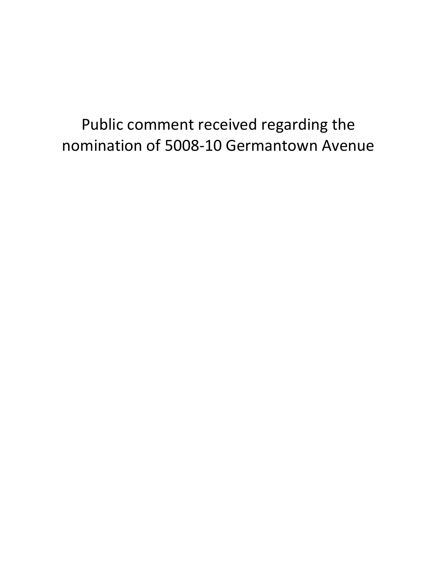## Public comment received regarding the nomination of 5008-10 Germantown Avenue